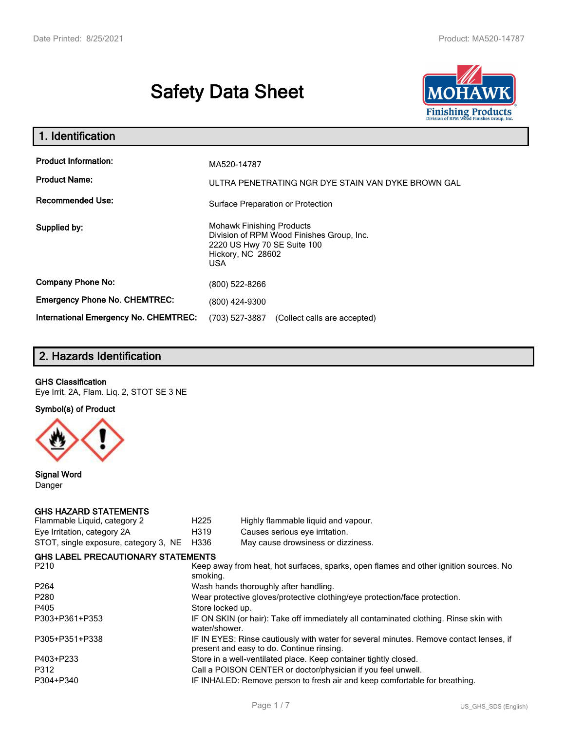# **Safety Data Sheet**



| 1. Identification                                                              |                                                                                                                                          |  |  |  |  |
|--------------------------------------------------------------------------------|------------------------------------------------------------------------------------------------------------------------------------------|--|--|--|--|
| <b>Product Information:</b><br><b>Product Name:</b><br><b>Recommended Use:</b> | MA520-14787<br>ULTRA PENETRATING NGR DYE STAIN VAN DYKE BROWN GAL                                                                        |  |  |  |  |
|                                                                                | Surface Preparation or Protection                                                                                                        |  |  |  |  |
| Supplied by:                                                                   | <b>Mohawk Finishing Products</b><br>Division of RPM Wood Finishes Group, Inc.<br>2220 US Hwy 70 SE Suite 100<br>Hickory, NC 28602<br>USA |  |  |  |  |
| <b>Company Phone No:</b>                                                       | (800) 522-8266                                                                                                                           |  |  |  |  |
| <b>Emergency Phone No. CHEMTREC:</b>                                           | (800) 424-9300                                                                                                                           |  |  |  |  |
| <b>International Emergency No. CHEMTREC:</b>                                   | (703) 527-3887<br>(Collect calls are accepted)                                                                                           |  |  |  |  |

# **2. Hazards Identification**

#### **GHS Classification**

Eye Irrit. 2A, Flam. Liq. 2, STOT SE 3 NE

**Symbol(s) of Product**



**Signal Word** Danger

#### **GHS HAZARD STATEMENTS**

| H <sub>225</sub> | Highly flammable liquid and vapour.                                                                                                 |
|------------------|-------------------------------------------------------------------------------------------------------------------------------------|
| H319             | Causes serious eye irritation.                                                                                                      |
| H336             | May cause drowsiness or dizziness.                                                                                                  |
|                  |                                                                                                                                     |
| smoking.         | Keep away from heat, hot surfaces, sparks, open flames and other ignition sources. No                                               |
|                  | Wash hands thoroughly after handling.                                                                                               |
|                  | Wear protective gloves/protective clothing/eye protection/face protection.                                                          |
| Store locked up. |                                                                                                                                     |
| water/shower.    | IF ON SKIN (or hair): Take off immediately all contaminated clothing. Rinse skin with                                               |
|                  | IF IN EYES: Rinse cautiously with water for several minutes. Remove contact lenses, if<br>present and easy to do. Continue rinsing. |
|                  | Store in a well-ventilated place. Keep container tightly closed.                                                                    |
|                  | Call a POISON CENTER or doctor/physician if you feel unwell.                                                                        |
|                  | IF INHALED: Remove person to fresh air and keep comfortable for breathing.                                                          |
|                  | STOT, single exposure, category 3, NE<br><b>GHS LABEL PRECAUTIONARY STATEMENTS</b>                                                  |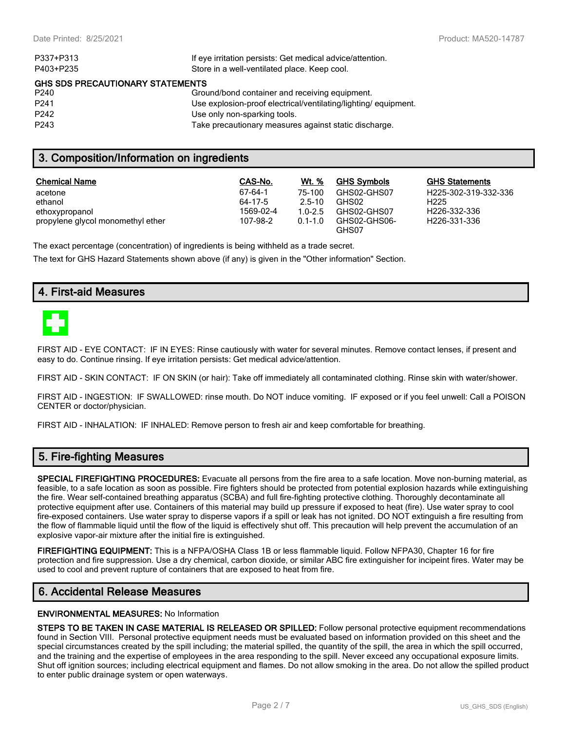| If eye irritation persists: Get medical advice/attention.      |
|----------------------------------------------------------------|
|                                                                |
|                                                                |
| Ground/bond container and receiving equipment.                 |
| Use explosion-proof electrical/ventilating/lighting/equipment. |
|                                                                |
| Take precautionary measures against static discharge.          |
|                                                                |

## **3. Composition/Information on ingredients**

| <b>Chemical Name</b>              | CAS-No.   | <b>Wt.</b> % | <b>GHS Symbols</b>    | <b>GHS Statements</b> |
|-----------------------------------|-----------|--------------|-----------------------|-----------------------|
| acetone                           | 67-64-1   | 75-100       | GHS02-GHS07           | H225-302-319-332-336  |
| ethanol                           | 64-17-5   | $2.5 - 10$   | GHS02                 | H <sub>225</sub>      |
| ethoxypropanol                    | 1569-02-4 | $1.0 - 2.5$  | GHS02-GHS07           | H226-332-336          |
| propylene glycol monomethyl ether | 107-98-2  | $0.1 - 1.0$  | GHS02-GHS06-<br>GHS07 | H226-331-336          |

The exact percentage (concentration) of ingredients is being withheld as a trade secret.

The text for GHS Hazard Statements shown above (if any) is given in the "Other information" Section.

## **4. First-aid Measures**



FIRST AID - EYE CONTACT: IF IN EYES: Rinse cautiously with water for several minutes. Remove contact lenses, if present and easy to do. Continue rinsing. If eye irritation persists: Get medical advice/attention.

FIRST AID - SKIN CONTACT: IF ON SKIN (or hair): Take off immediately all contaminated clothing. Rinse skin with water/shower.

FIRST AID - INGESTION: IF SWALLOWED: rinse mouth. Do NOT induce vomiting. IF exposed or if you feel unwell: Call a POISON CENTER or doctor/physician.

FIRST AID - INHALATION: IF INHALED: Remove person to fresh air and keep comfortable for breathing.

# **5. Fire-fighting Measures**

**SPECIAL FIREFIGHTING PROCEDURES:** Evacuate all persons from the fire area to a safe location. Move non-burning material, as feasible, to a safe location as soon as possible. Fire fighters should be protected from potential explosion hazards while extinguishing the fire. Wear self-contained breathing apparatus (SCBA) and full fire-fighting protective clothing. Thoroughly decontaminate all protective equipment after use. Containers of this material may build up pressure if exposed to heat (fire). Use water spray to cool fire-exposed containers. Use water spray to disperse vapors if a spill or leak has not ignited. DO NOT extinguish a fire resulting from the flow of flammable liquid until the flow of the liquid is effectively shut off. This precaution will help prevent the accumulation of an explosive vapor-air mixture after the initial fire is extinguished.

**FIREFIGHTING EQUIPMENT:** This is a NFPA/OSHA Class 1B or less flammable liquid. Follow NFPA30, Chapter 16 for fire protection and fire suppression. Use a dry chemical, carbon dioxide, or similar ABC fire extinguisher for incipeint fires. Water may be used to cool and prevent rupture of containers that are exposed to heat from fire.

## **6. Accidental Release Measures**

#### **ENVIRONMENTAL MEASURES:** No Information

**STEPS TO BE TAKEN IN CASE MATERIAL IS RELEASED OR SPILLED:** Follow personal protective equipment recommendations found in Section VIII. Personal protective equipment needs must be evaluated based on information provided on this sheet and the special circumstances created by the spill including; the material spilled, the quantity of the spill, the area in which the spill occurred, and the training and the expertise of employees in the area responding to the spill. Never exceed any occupational exposure limits. Shut off ignition sources; including electrical equipment and flames. Do not allow smoking in the area. Do not allow the spilled product to enter public drainage system or open waterways.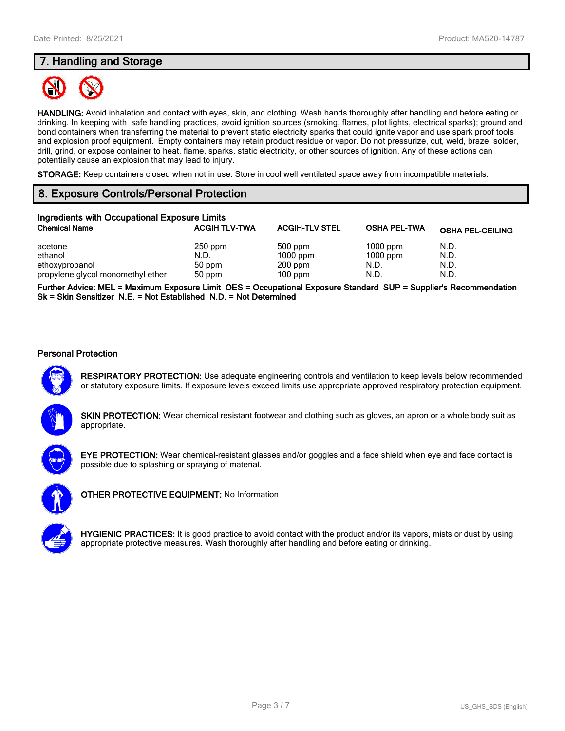# **7. Handling and Storage**



**HANDLING:** Avoid inhalation and contact with eyes, skin, and clothing. Wash hands thoroughly after handling and before eating or drinking. In keeping with safe handling practices, avoid ignition sources (smoking, flames, pilot lights, electrical sparks); ground and bond containers when transferring the material to prevent static electricity sparks that could ignite vapor and use spark proof tools and explosion proof equipment. Empty containers may retain product residue or vapor. Do not pressurize, cut, weld, braze, solder, drill, grind, or expose container to heat, flame, sparks, static electricity, or other sources of ignition. Any of these actions can potentially cause an explosion that may lead to injury.

**STORAGE:** Keep containers closed when not in use. Store in cool well ventilated space away from incompatible materials.

# **8. Exposure Controls/Personal Protection**

| Ingredients with Occupational Exposure Limits |                      |                       |                     |                         |  |  |
|-----------------------------------------------|----------------------|-----------------------|---------------------|-------------------------|--|--|
| <b>Chemical Name</b>                          | <b>ACGIH TLV-TWA</b> | <b>ACGIH-TLV STEL</b> | <b>OSHA PEL-TWA</b> | <b>OSHA PEL-CEILING</b> |  |  |
| acetone                                       | $250$ ppm            | 500 ppm               | $1000$ ppm          | N.D.                    |  |  |
| ethanol                                       | N.D.                 | $1000$ ppm            | $1000$ ppm          | N.D.                    |  |  |
| ethoxypropanol                                | 50 ppm               | $200$ ppm             | N.D.                | N.D.                    |  |  |
| propylene glycol monomethyl ether             | 50 ppm               | $100$ ppm             | N.D.                | N.D.                    |  |  |

**Further Advice: MEL = Maximum Exposure Limit OES = Occupational Exposure Standard SUP = Supplier's Recommendation Sk = Skin Sensitizer N.E. = Not Established N.D. = Not Determined**

#### **Personal Protection**



**RESPIRATORY PROTECTION:** Use adequate engineering controls and ventilation to keep levels below recommended or statutory exposure limits. If exposure levels exceed limits use appropriate approved respiratory protection equipment.

**SKIN PROTECTION:** Wear chemical resistant footwear and clothing such as gloves, an apron or a whole body suit as appropriate.



**EYE PROTECTION:** Wear chemical-resistant glasses and/or goggles and a face shield when eye and face contact is possible due to splashing or spraying of material.



**OTHER PROTECTIVE EQUIPMENT:** No Information



**HYGIENIC PRACTICES:** It is good practice to avoid contact with the product and/or its vapors, mists or dust by using appropriate protective measures. Wash thoroughly after handling and before eating or drinking.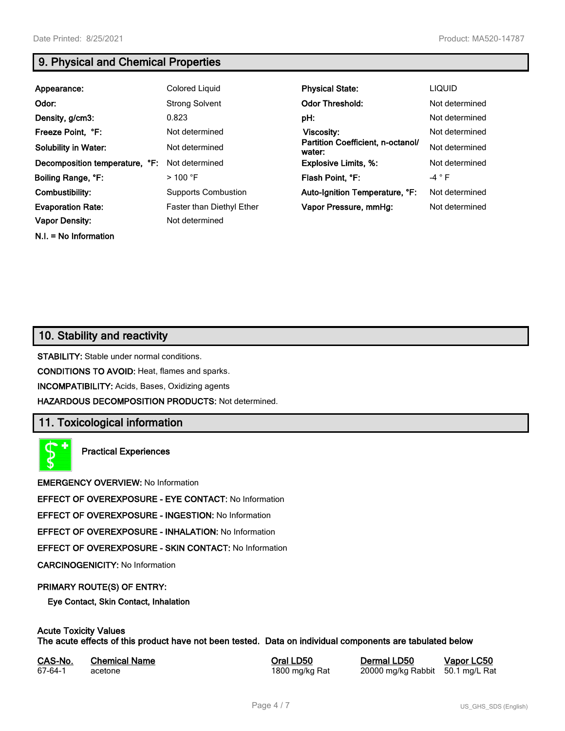**N.I. = No Information**

# **9. Physical and Chemical Properties**

| Appearance:                    | Colored Liquid             | <b>Physical State:</b>                      | <b>LIQUID</b>  |
|--------------------------------|----------------------------|---------------------------------------------|----------------|
| Odor:                          | <b>Strong Solvent</b>      | <b>Odor Threshold:</b>                      | Not determined |
| Density, g/cm3:                | 0.823                      | pH:                                         | Not determined |
| Freeze Point, °F:              | Not determined             | Viscosity:                                  | Not determined |
| <b>Solubility in Water:</b>    | Not determined             | Partition Coefficient, n-octanol/<br>water: | Not determined |
| Decomposition temperature, °F: | Not determined             | <b>Explosive Limits, %:</b>                 | Not determined |
| Boiling Range, °F:             | $>100$ °F                  | Flash Point, °F:                            | -4 $\degree$ F |
| Combustibility:                | <b>Supports Combustion</b> | Auto-Ignition Temperature, °F:              | Not determined |
| <b>Evaporation Rate:</b>       | Faster than Diethyl Ether  | Vapor Pressure, mmHq:                       | Not determined |
| <b>Vapor Density:</b>          | Not determined             |                                             |                |

# **10. Stability and reactivity**

**STABILITY:** Stable under normal conditions.

**CONDITIONS TO AVOID:** Heat, flames and sparks.

**INCOMPATIBILITY:** Acids, Bases, Oxidizing agents

**HAZARDOUS DECOMPOSITION PRODUCTS:** Not determined.

# **11. Toxicological information**

**Practical Experiences**

**EMERGENCY OVERVIEW:** No Information

**EFFECT OF OVEREXPOSURE - EYE CONTACT:** No Information

**EFFECT OF OVEREXPOSURE - INGESTION:** No Information

**EFFECT OF OVEREXPOSURE - INHALATION:** No Information

**EFFECT OF OVEREXPOSURE - SKIN CONTACT:** No Information

**CARCINOGENICITY:** No Information

#### **PRIMARY ROUTE(S) OF ENTRY:**

**Eye Contact, Skin Contact, Inhalation**

# **Acute Toxicity Values**

**The acute effects of this product have not been tested. Data on individual components are tabulated below**

| CAS-No. | <b>Chemical Name</b> |
|---------|----------------------|
| 67-64-1 | acetone              |

**Casary Chemical Chemical LD50 Chemical LD50 Vapor LC50** 1800 mg/kg Rat 20000 mg/kg Rabbit 50.1 mg/L Rat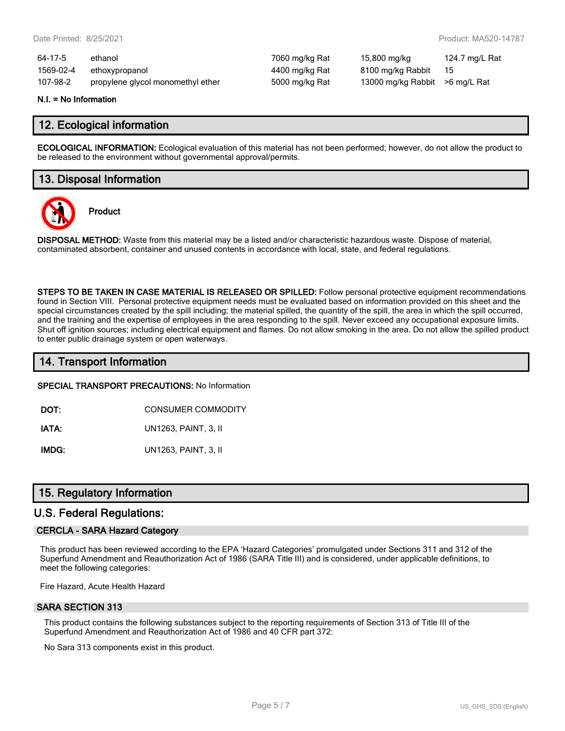| 64-17-5   | ethanol                           | 7060 mg/kg Rat | 15,800 mg/kg                   | 124.7 mg/L Rat |
|-----------|-----------------------------------|----------------|--------------------------------|----------------|
| 1569-02-4 | ethoxypropanol                    | 4400 mg/kg Rat | 8100 mg/kg Rabbit              | - 15           |
| 107-98-2  | propylene glycol monomethyl ether | 5000 mg/kg Rat | 13000 mg/kg Rabbit >6 mg/L Rat |                |

#### **N.I. = No Information**

## **12. Ecological information**

**ECOLOGICAL INFORMATION:** Ecological evaluation of this material has not been performed; however, do not allow the product to be released to the environment without governmental approval/permits.

## **13. Disposal Information**



**Product**

**DISPOSAL METHOD:** Waste from this material may be a listed and/or characteristic hazardous waste. Dispose of material, contaminated absorbent, container and unused contents in accordance with local, state, and federal regulations.

**STEPS TO BE TAKEN IN CASE MATERIAL IS RELEASED OR SPILLED:** Follow personal protective equipment recommendations found in Section VIII. Personal protective equipment needs must be evaluated based on information provided on this sheet and the special circumstances created by the spill including; the material spilled, the quantity of the spill, the area in which the spill occurred, and the training and the expertise of employees in the area responding to the spill. Never exceed any occupational exposure limits. Shut off ignition sources; including electrical equipment and flames. Do not allow smoking in the area. Do not allow the spilled product to enter public drainage system or open waterways.

## **14. Transport Information**

#### **SPECIAL TRANSPORT PRECAUTIONS:** No Information

**DOT:** CONSUMER COMMODITY

**IATA:** UN1263, PAINT, 3, II

**IMDG:** UN1263, PAINT, 3, II

## **15. Regulatory Information**

## **U.S. Federal Regulations:**

#### **CERCLA - SARA Hazard Category**

This product has been reviewed according to the EPA 'Hazard Categories' promulgated under Sections 311 and 312 of the Superfund Amendment and Reauthorization Act of 1986 (SARA Title III) and is considered, under applicable definitions, to meet the following categories:

Fire Hazard, Acute Health Hazard

#### **SARA SECTION 313**

This product contains the following substances subject to the reporting requirements of Section 313 of Title III of the Superfund Amendment and Reauthorization Act of 1986 and 40 CFR part 372:

No Sara 313 components exist in this product.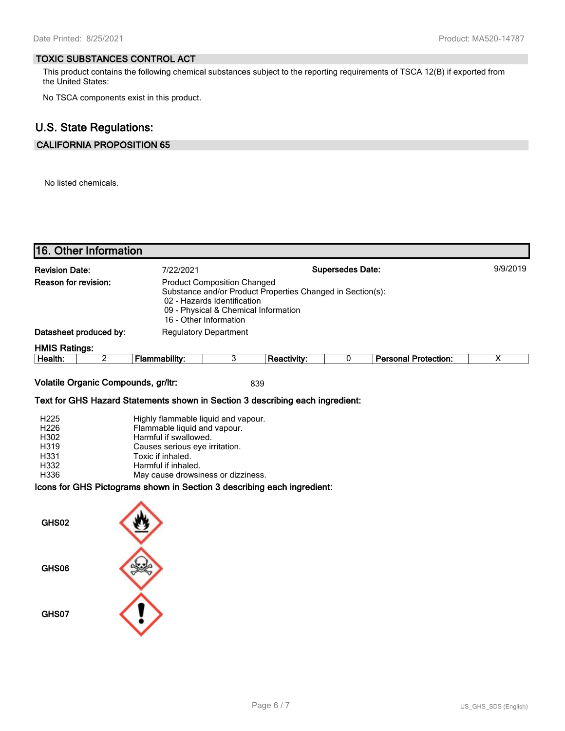#### **TOXIC SUBSTANCES CONTROL ACT**

This product contains the following chemical substances subject to the reporting requirements of TSCA 12(B) if exported from the United States:

No TSCA components exist in this product.

# **U.S. State Regulations:**

## **CALIFORNIA PROPOSITION 65**

No listed chemicals.

| 16. Other Information                                                                                                                                                                                                                                                                          |                                                                                                                                                                                                                  |                |             |   |                             |                         |
|------------------------------------------------------------------------------------------------------------------------------------------------------------------------------------------------------------------------------------------------------------------------------------------------|------------------------------------------------------------------------------------------------------------------------------------------------------------------------------------------------------------------|----------------|-------------|---|-----------------------------|-------------------------|
| <b>Supersedes Date:</b><br><b>Revision Date:</b><br>7/22/2021<br>Reason for revision:<br><b>Product Composition Changed</b><br>Substance and/or Product Properties Changed in Section(s):<br>02 - Hazards Identification<br>09 - Physical & Chemical Information<br>16 - Other Information     |                                                                                                                                                                                                                  |                |             |   | 9/9/2019                    |                         |
| Datasheet produced by:                                                                                                                                                                                                                                                                         | <b>Regulatory Department</b>                                                                                                                                                                                     |                |             |   |                             |                         |
| <b>HMIS Ratings:</b><br>$\overline{2}$<br>Health:                                                                                                                                                                                                                                              | <b>Flammability:</b>                                                                                                                                                                                             | $\overline{3}$ | Reactivity: | 0 | <b>Personal Protection:</b> | $\overline{\mathsf{x}}$ |
| Volatile Organic Compounds, gr/ltr:<br>Text for GHS Hazard Statements shown in Section 3 describing each ingredient:<br>H <sub>225</sub><br>H226<br>H302<br>H319<br>H331<br>H332<br>H336<br>Icons for GHS Pictograms shown in Section 3 describing each ingredient:<br>GHS02<br>GHS06<br>GHS07 | Highly flammable liquid and vapour.<br>Flammable liquid and vapour.<br>Harmful if swallowed.<br>Causes serious eye irritation.<br>Toxic if inhaled.<br>Harmful if inhaled.<br>May cause drowsiness or dizziness. |                | 839         |   |                             |                         |